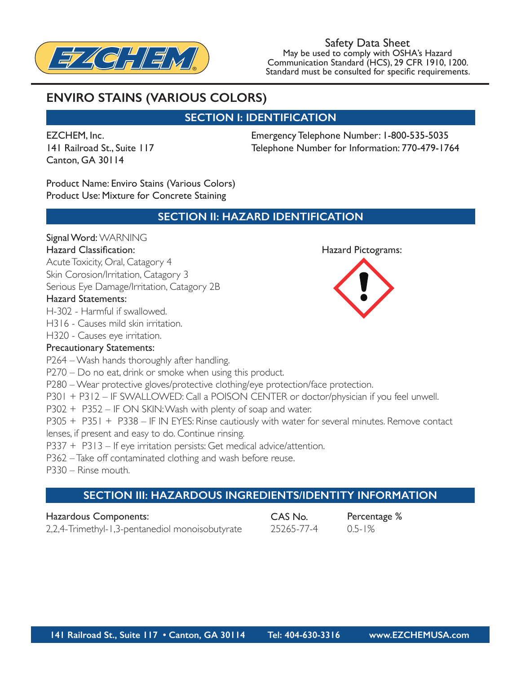

Safety Data Sheet May be used to comply with OSHA's Hazard Communication Standard (HCS), 29 CFR 1910, 1200. May be used to comply with OSHA's Hazard<br>Communication Standard (HCS), 29 CFR 1910, 1200.<br>Standard must be consulted for specific requirements.

# **ENVIRO STAINS (VARIOUS COLORS)**

### **SECTION I: IDENTIFICATION**

EZCHEM, Inc. 141 Railroad St., Suite 117 Canton, GA 30114

Emergency Telephone Number: 1-800-535-5035 Telephone Number for Information: 770-479-1764

Product Name: Enviro Stains (Various Colors) Product Use: Mixture for Concrete Staining

### **SECTION II: HAZARD IDENTIFICATION**

#### Signal Word: WARNING

#### Hazard Classification: Hazard Pictograms:

Acute Toxicity, Oral, Catagory 4 Skin Corosion/Irritation, Catagory 3 Serious Eye Damage/Irritation, Catagory 2B

### Hazard Statements:

H-302 - Harmful if swallowed.

H316 - Causes mild skin irritation.

H320 - Causes eye irritation.

#### Precautionary Statements:

P264 – Wash hands thoroughly after handling.

P270 – Do no eat, drink or smoke when using this product.

P280 – Wear protective gloves/protective clothing/eye protection/face protection.

P301 + P312 – IF SWALLOWED: Call a POISON CENTER or doctor/physician if you feel unwell.

P302 + P352 – IF ON SKIN: Wash with plenty of soap and water.

P305 + P351 + P338 – IF IN EYES: Rinse cautiously with water for several minutes. Remove contact

lenses, if present and easy to do. Continue rinsing.

P337 + P313 – If eye irritation persists: Get medical advice/attention.

P362 – Take off contaminated clothing and wash before reuse.

P330 – Rinse mouth.

# **SECTION III: HAZARDOUS INGREDIENTS/IDENTITY INFORMATION**

Hazardous Components: 2,2,4-Trimethyl-1,3-pentanediol monoisobutyrate CAS No. 25265-77-4

Percentage % 0.5-1%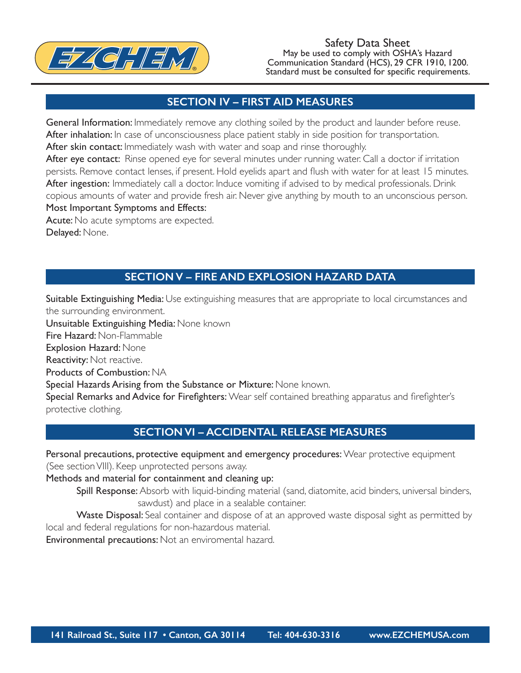

Safety Data Sheet May be used to comply with OSHA's Hazard Communication Standard (HCS), 29 CFR 1910, 1200. Standard must be consulted for specific requirements.

### **SECTION IV – FIRST AID MEASURES**

General Information: Immediately remove any clothing soiled by the product and launder before reuse. After inhalation: In case of unconsciousness place patient stably in side position for transportation. After skin contact: Immediately wash with water and soap and rinse thoroughly.

After eye contact: Rinse opened eye for several minutes under running water. Call a doctor if irritation persists. Remove contact lenses, if present. Hold eyelids apart and flush with water for at least 15 minutes. After ingestion: Immediately call a doctor. Induce vomiting if advised to by medical professionals. Drink copious amounts of water and provide fresh air. Never give anything by mouth to an unconscious person. Most Important Symptoms and Effects:

Acute: No acute symptoms are expected.

Delayed: None.

**SECTION V – FIRE AND EXPLOSION HAZARD DATA**

Suitable Extinguishing Media: Use extinguishing measures that are appropriate to local circumstances and the surrounding environment.

Unsuitable Extinguishing Media: None known

Fire Hazard: Non-Flammable

Explosion Hazard: None

Reactivity: Not reactive.

Products of Combustion: NA

Special Hazards Arising from the Substance or Mixture: None known.

Special Remarks and Advice for Firefighters: Wear self contained breathing apparatus and firefighter's protective clothing.

### **SECTION VI – ACCIDENTAL RELEASE MEASURES**

Personal precautions, protective equipment and emergency procedures: Wear protective equipment (See section VIII). Keep unprotected persons away.

Methods and material for containment and cleaning up:

Spill Response: Absorb with liquid-binding material (sand, diatomite, acid binders, universal binders, sawdust) and place in a sealable container.

Waste Disposal: Seal container and dispose of at an approved waste disposal sight as permitted by local and federal regulations for non-hazardous material.

Environmental precautions: Not an enviromental hazard.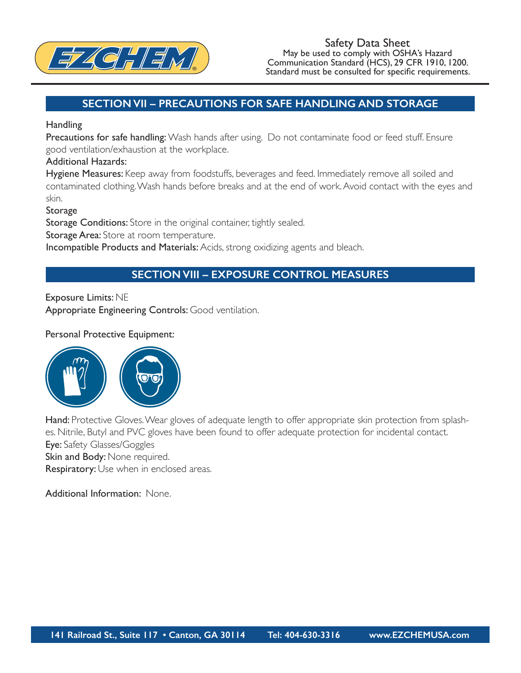

### **SECTION VII – PRECAUTIONS FOR SAFE HANDLING AND STORAGE**

#### **Handling**

Precautions for safe handling: Wash hands after using. Do not contaminate food or feed stuff. Ensure good ventilation/exhaustion at the workplace.

#### Additional Hazards:

Hygiene Measures: Keep away from foodstuffs, beverages and feed. Immediately remove all soiled and contaminated clothing. Wash hands before breaks and at the end of work. Avoid contact with the eyes and skin.

Storage

Storage Conditions: Store in the original container, tightly sealed.

**Storage Area:** Store at room temperature.

Incompatible Products and Materials: Acids, strong oxidizing agents and bleach.

### **SECTION VIII – EXPOSURE CONTROL MEASURES**

Exposure Limits: NE

Appropriate Engineering Controls: Good ventilation.

#### Personal Protective Equipment:



Hand: Protective Gloves. Wear gloves of adequate length to offer appropriate skin protection from splashes. Nitrile, Butyl and PVC gloves have been found to offer adequate protection for incidental contact. Eye: Safety Glasses/Goggles Skin and Body: None required. Respiratory: Use when in enclosed areas.

Additional Information: None.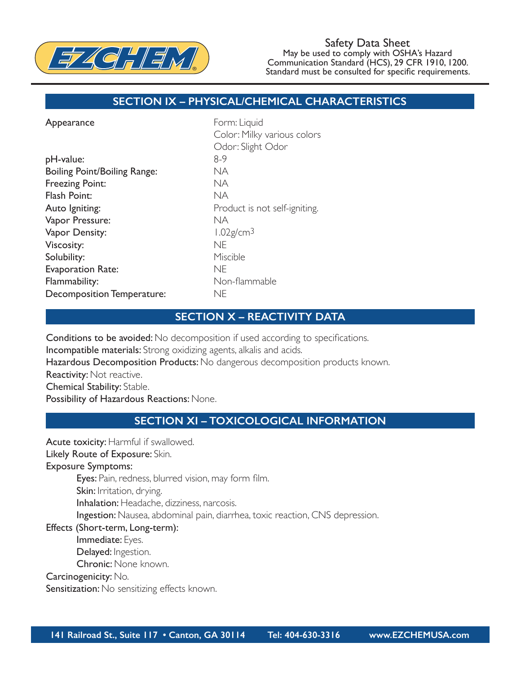

#### Safety Data Sheet May be used to comply with OSHA's Hazard Communication Standard (HCS), 29 CFR 1910, 1200. Standard must be consulted for specific requirements.

### **SECTION IX – PHYSICAL/CHEMICAL CHARACTERISTICS**

| Form: Liquid                  |
|-------------------------------|
| Color: Milky various colors   |
| Odor: Slight Odor             |
| $8-9$                         |
| NA.                           |
| NA                            |
| NA.                           |
| Product is not self-igniting. |
| NA.                           |
| $1.02$ g/cm <sup>3</sup>      |
| <b>NE</b>                     |
| Miscible                      |
| <b>NE</b>                     |
| Non-flammable                 |
| ne                            |
|                               |

#### **SECTION X – REACTIVITY DATA**

Conditions to be avoided: No decomposition if used according to specifications. Incompatible materials: Strong oxidizing agents, alkalis and acids. Hazardous Decomposition Products: No dangerous decomposition products known. Reactivity: Not reactive. Chemical Stability: Stable. Possibility of Hazardous Reactions: None.

### **SECTION XI – TOXICOLOGICAL INFORMATION**

Acute toxicity: Harmful if swallowed.

Likely Route of Exposure: Skin.

Exposure Symptoms:

Eyes: Pain, redness, blurred vision, may form film.

Skin: Irritation, drying.

Inhalation: Headache, dizziness, narcosis.

Ingestion: Nausea, abdominal pain, diarrhea, toxic reaction, CNS depression.

Effects (Short-term, Long-term):

Immediate: Eyes.

Delayed: Ingestion.

Chronic: None known.

Carcinogenicity: No.

Sensitization: No sensitizing effects known.